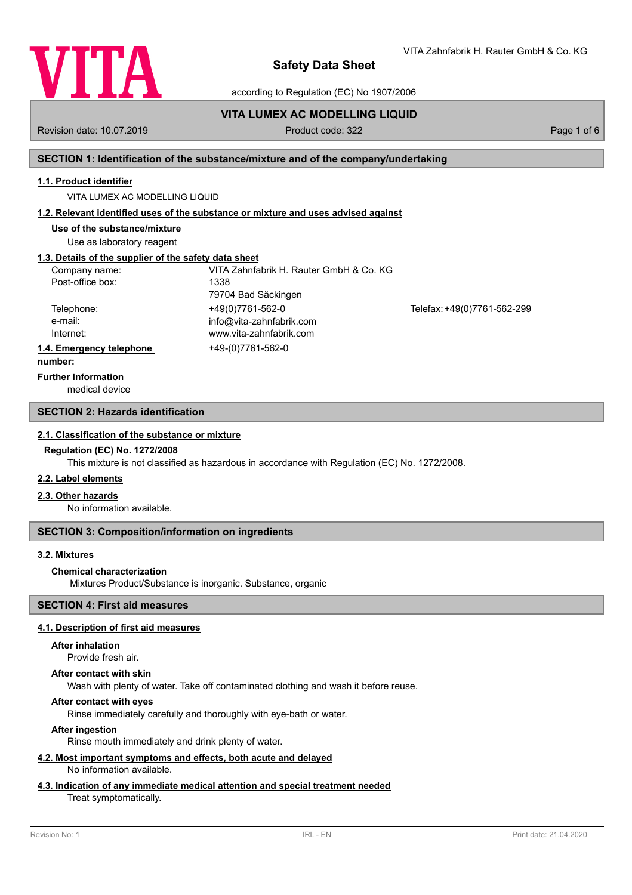

according to Regulation (EC) No 1907/2006

**VITA LUMEX AC MODELLING LIQUID** Revision date: 10.07.2019 **Product code: 322** Page 1 of 6

## **SECTION 1: Identification of the substance/mixture and of the company/undertaking**

### **1.1. Product identifier**

VITA LUMEX AC MODELLING LIQUID

### **1.2. Relevant identified uses of the substance or mixture and uses advised against**

**Use of the substance/mixture**

Use as laboratory reagent

## **1.3. Details of the supplier of the safety data sheet**

| Company name:<br>Post-office box:   | VITA Zahnfabrik H. Rauter GmbH & Co. KG<br>1338<br>79704 Bad Säckingen  |                             |
|-------------------------------------|-------------------------------------------------------------------------|-----------------------------|
| Telephone:<br>e-mail:<br>Internet:  | +49(0)7761-562-0<br>info@vita-zahnfabrik.com<br>www.vita-zahnfabrik.com | Telefax: +49(0)7761-562-299 |
| 1.4. Emergency telephone<br>numhar: | +49-(0)7761-562-0                                                       |                             |

## **number:**

medical device **Further Information**

### **SECTION 2: Hazards identification**

#### **2.1. Classification of the substance or mixture**

#### **Regulation (EC) No. 1272/2008**

This mixture is not classified as hazardous in accordance with Regulation (EC) No. 1272/2008.

### **2.2. Label elements**

### **2.3. Other hazards**

No information available.

### **SECTION 3: Composition/information on ingredients**

## **3.2. Mixtures**

#### **Chemical characterization**

Mixtures Product/Substance is inorganic. Substance, organic

## **SECTION 4: First aid measures**

## **4.1. Description of first aid measures**

#### **After inhalation**

Provide fresh air.

### **After contact with skin**

Wash with plenty of water. Take off contaminated clothing and wash it before reuse.

## **After contact with eyes**

Rinse immediately carefully and thoroughly with eye-bath or water.

## **After ingestion**

Rinse mouth immediately and drink plenty of water.

#### **4.2. Most important symptoms and effects, both acute and delayed** No information available.

### **4.3. Indication of any immediate medical attention and special treatment needed**

## Treat symptomatically.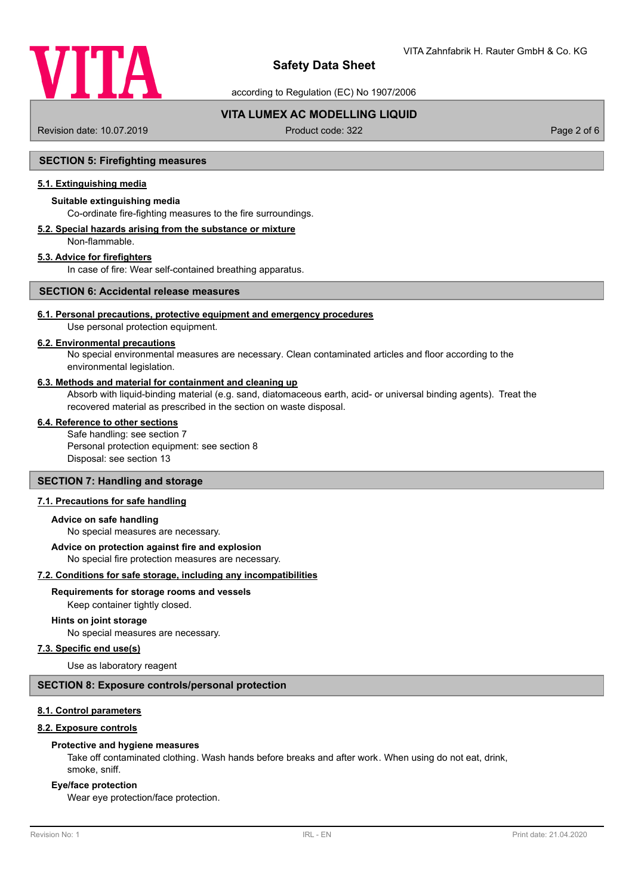

according to Regulation (EC) No 1907/2006

## **VITA LUMEX AC MODELLING LIQUID**

Revision date: 10.07.2019 **Product code: 322** Page 2 of 6

## **SECTION 5: Firefighting measures**

## **5.1. Extinguishing media**

## **Suitable extinguishing media**

Co-ordinate fire-fighting measures to the fire surroundings.

#### **5.2. Special hazards arising from the substance or mixture** Non-flammable.

## **5.3. Advice for firefighters**

In case of fire: Wear self-contained breathing apparatus.

## **SECTION 6: Accidental release measures**

## **6.1. Personal precautions, protective equipment and emergency procedures**

Use personal protection equipment.

## **6.2. Environmental precautions**

No special environmental measures are necessary. Clean contaminated articles and floor according to the environmental legislation.

### **6.3. Methods and material for containment and cleaning up**

Absorb with liquid-binding material (e.g. sand, diatomaceous earth, acid- or universal binding agents). Treat the recovered material as prescribed in the section on waste disposal.

#### **6.4. Reference to other sections**

Safe handling: see section 7 Personal protection equipment: see section 8 Disposal: see section 13

### **SECTION 7: Handling and storage**

## **7.1. Precautions for safe handling**

#### **Advice on safe handling**

No special measures are necessary.

## **Advice on protection against fire and explosion**

No special fire protection measures are necessary.

**7.2. Conditions for safe storage, including any incompatibilities**

# **Requirements for storage rooms and vessels**

Keep container tightly closed.

#### **Hints on joint storage**

No special measures are necessary.

## **7.3. Specific end use(s)**

Use as laboratory reagent

## **SECTION 8: Exposure controls/personal protection**

## **8.1. Control parameters**

#### **8.2. Exposure controls**

#### **Protective and hygiene measures**

Take off contaminated clothing. Wash hands before breaks and after work. When using do not eat, drink, smoke, sniff.

#### **Eye/face protection**

Wear eye protection/face protection.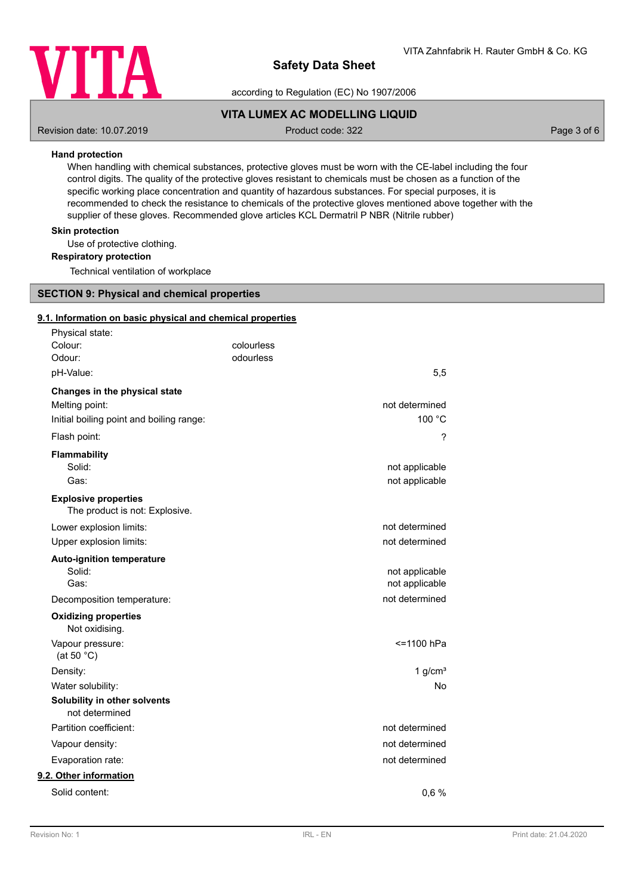

according to Regulation (EC) No 1907/2006

## **VITA LUMEX AC MODELLING LIQUID**

Revision date: 10.07.2019 **Product code: 322** Page 3 of 6

## **Hand protection**

When handling with chemical substances, protective gloves must be worn with the CE-label including the four control digits. The quality of the protective gloves resistant to chemicals must be chosen as a function of the specific working place concentration and quantity of hazardous substances. For special purposes, it is recommended to check the resistance to chemicals of the protective gloves mentioned above together with the supplier of these gloves. Recommended glove articles KCL Dermatril P NBR (Nitrile rubber)

## **Skin protection**

Use of protective clothing.

**Respiratory protection**

Technical ventilation of workplace

## **SECTION 9: Physical and chemical properties**

#### **9.1. Information on basic physical and chemical properties**

| Physical state:                                               |            |                |
|---------------------------------------------------------------|------------|----------------|
| Colour:                                                       | colourless |                |
| Odour:                                                        | odourless  |                |
| pH-Value:                                                     |            | 5,5            |
| Changes in the physical state                                 |            |                |
| Melting point:                                                |            | not determined |
| Initial boiling point and boiling range:                      |            | 100 °C         |
| Flash point:                                                  |            | ?              |
| Flammability                                                  |            |                |
| Solid:                                                        |            | not applicable |
| Gas:                                                          |            | not applicable |
| <b>Explosive properties</b><br>The product is not: Explosive. |            |                |
| Lower explosion limits:                                       |            | not determined |
| Upper explosion limits:                                       |            | not determined |
| <b>Auto-ignition temperature</b>                              |            |                |
| Solid:                                                        |            | not applicable |
| Gas:                                                          |            | not applicable |
| Decomposition temperature:                                    |            | not determined |
| <b>Oxidizing properties</b><br>Not oxidising.                 |            |                |
| Vapour pressure:<br>(at 50 $^{\circ}$ C)                      |            | <=1100 hPa     |
| Density:                                                      |            | 1 $g/cm3$      |
| Water solubility:                                             |            | <b>No</b>      |
| Solubility in other solvents<br>not determined                |            |                |
| Partition coefficient:                                        |            | not determined |
| Vapour density:                                               |            | not determined |
| Evaporation rate:                                             |            | not determined |
| 9.2. Other information                                        |            |                |
| Solid content:                                                |            | 0,6%           |
|                                                               |            |                |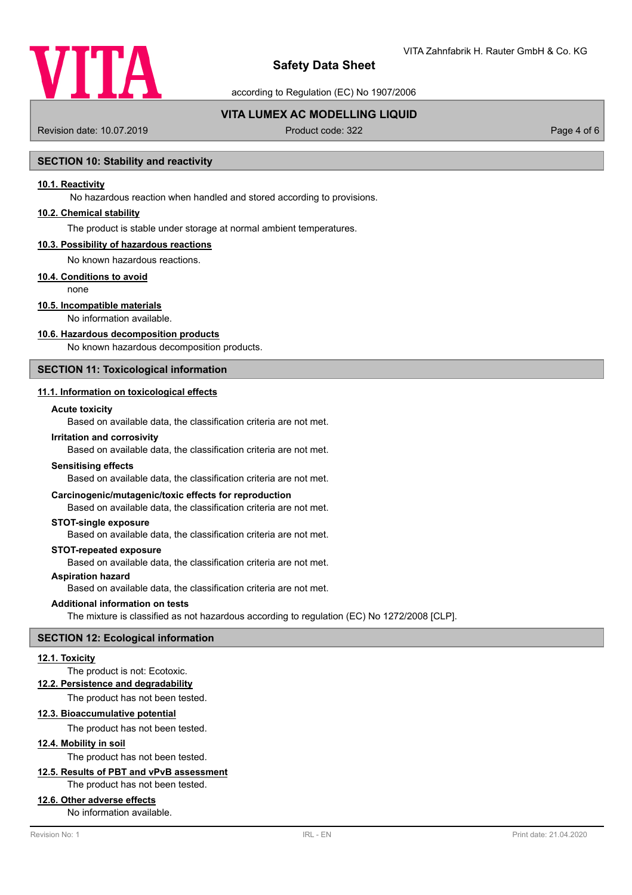

according to Regulation (EC) No 1907/2006

## **VITA LUMEX AC MODELLING LIQUID**

Revision date: 10.07.2019 **Product code: 322** Page 4 of 6

## **SECTION 10: Stability and reactivity**

## **10.1. Reactivity**

No hazardous reaction when handled and stored according to provisions.

## **10.2. Chemical stability**

The product is stable under storage at normal ambient temperatures.

#### **10.3. Possibility of hazardous reactions**

No known hazardous reactions.

## **10.4. Conditions to avoid**

none

## **10.5. Incompatible materials**

No information available.

#### **10.6. Hazardous decomposition products**

No known hazardous decomposition products.

## **SECTION 11: Toxicological information**

## **11.1. Information on toxicological effects**

### **Acute toxicity**

Based on available data, the classification criteria are not met.

#### **Irritation and corrosivity**

Based on available data, the classification criteria are not met.

#### **Sensitising effects**

Based on available data, the classification criteria are not met.

#### **Carcinogenic/mutagenic/toxic effects for reproduction**

Based on available data, the classification criteria are not met.

#### **STOT-single exposure**

Based on available data, the classification criteria are not met.

### **STOT-repeated exposure**

Based on available data, the classification criteria are not met.

## **Aspiration hazard**

Based on available data, the classification criteria are not met.

#### **Additional information on tests**

The mixture is classified as not hazardous according to regulation (EC) No 1272/2008 [CLP].

#### **SECTION 12: Ecological information**

#### **12.1. Toxicity**

## The product is not: Ecotoxic.

**12.2. Persistence and degradability**

The product has not been tested.

## **12.3. Bioaccumulative potential**

The product has not been tested.

## **12.4. Mobility in soil**

The product has not been tested.

## **12.5. Results of PBT and vPvB assessment**

The product has not been tested.

## **12.6. Other adverse effects**

No information available.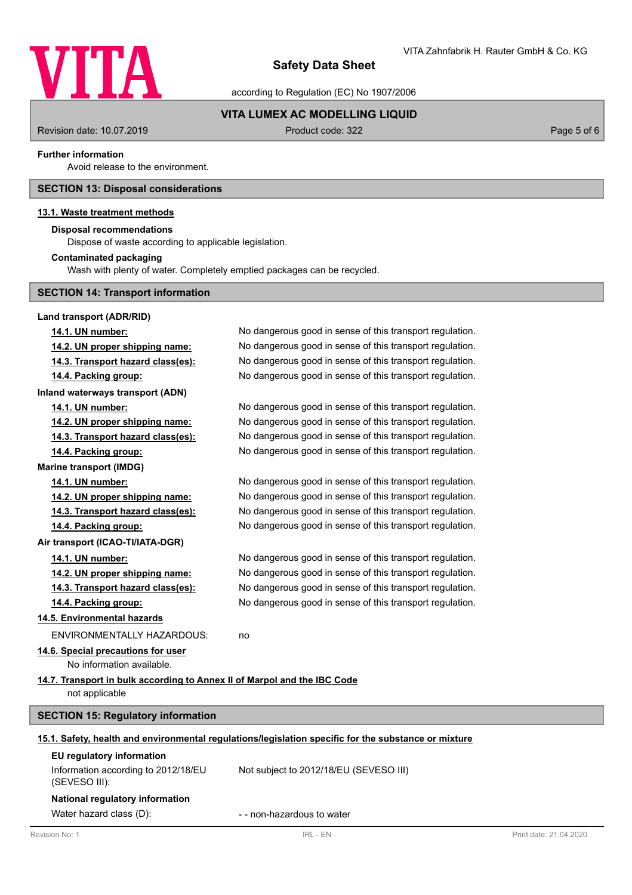

according to Regulation (EC) No 1907/2006

## **VITA LUMEX AC MODELLING LIQUID**

Revision date: 10.07.2019 **Product code: 322** Product code: 322 **Page 5 of 6** 

## **Further information**

Avoid release to the environment.

## **SECTION 13: Disposal considerations**

## **13.1. Waste treatment methods**

## **Disposal recommendations**

Dispose of waste according to applicable legislation.

#### **Contaminated packaging**

Wash with plenty of water. Completely emptied packages can be recycled.

## **SECTION 14: Transport information**

| Land transport (ADR/RID)                                                 |                                                                                                      |                        |
|--------------------------------------------------------------------------|------------------------------------------------------------------------------------------------------|------------------------|
| 14.1. UN number:                                                         | No dangerous good in sense of this transport regulation.                                             |                        |
| 14.2. UN proper shipping name:                                           | No dangerous good in sense of this transport regulation.                                             |                        |
| 14.3. Transport hazard class(es):                                        | No dangerous good in sense of this transport regulation.                                             |                        |
| 14.4. Packing group:                                                     | No dangerous good in sense of this transport regulation.                                             |                        |
| Inland waterways transport (ADN)                                         |                                                                                                      |                        |
| 14.1. UN number:                                                         | No dangerous good in sense of this transport regulation.                                             |                        |
| 14.2. UN proper shipping name:                                           | No dangerous good in sense of this transport regulation.                                             |                        |
| 14.3. Transport hazard class(es):                                        | No dangerous good in sense of this transport regulation.                                             |                        |
| 14.4. Packing group:                                                     | No dangerous good in sense of this transport regulation.                                             |                        |
| <b>Marine transport (IMDG)</b>                                           |                                                                                                      |                        |
| 14.1. UN number:                                                         | No dangerous good in sense of this transport regulation.                                             |                        |
| 14.2. UN proper shipping name:                                           | No dangerous good in sense of this transport regulation.                                             |                        |
| 14.3. Transport hazard class(es):                                        | No dangerous good in sense of this transport regulation.                                             |                        |
| 14.4. Packing group:                                                     | No dangerous good in sense of this transport regulation.                                             |                        |
| Air transport (ICAO-TI/IATA-DGR)                                         |                                                                                                      |                        |
| 14.1. UN number:                                                         | No dangerous good in sense of this transport regulation.                                             |                        |
| 14.2. UN proper shipping name:                                           | No dangerous good in sense of this transport regulation.                                             |                        |
| 14.3. Transport hazard class(es):                                        | No dangerous good in sense of this transport regulation.                                             |                        |
| 14.4. Packing group:                                                     | No dangerous good in sense of this transport regulation.                                             |                        |
| 14.5. Environmental hazards                                              |                                                                                                      |                        |
| <b>ENVIRONMENTALLY HAZARDOUS:</b>                                        | no                                                                                                   |                        |
| 14.6. Special precautions for user                                       |                                                                                                      |                        |
| No information available.                                                |                                                                                                      |                        |
| 14.7. Transport in bulk according to Annex II of Marpol and the IBC Code |                                                                                                      |                        |
| not applicable                                                           |                                                                                                      |                        |
| <b>SECTION 15: Regulatory information</b>                                |                                                                                                      |                        |
|                                                                          | 15.1. Safety, health and environmental regulations/legislation specific for the substance or mixture |                        |
| EU regulatory information                                                |                                                                                                      |                        |
| Information according to 2012/18/EU<br>(SEVESO III):                     | Not subject to 2012/18/EU (SEVESO III)                                                               |                        |
| National regulatory information                                          |                                                                                                      |                        |
| Water hazard class (D):                                                  | - - non-hazardous to water                                                                           |                        |
| Revision No: 1                                                           | <b>IRL - EN</b>                                                                                      | Print date: 21.04.2020 |